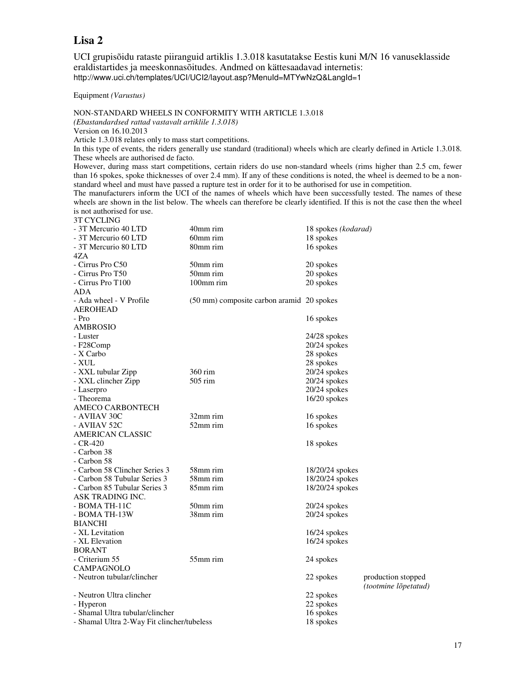## **Lisa 2**

UCI grupisõidu rataste piiranguid artiklis 1.3.018 kasutatakse Eestis kuni M/N 16 vanuseklasside eraldistartides ja meeskonnasõitudes. Andmed on kättesaadavad internetis: http://www.uci.ch/templates/UCI/UCI2/layout.asp?MenuId=MTYwNzQ&LangId=1

Equipment *(Varustus)* 

NON-STANDARD WHEELS IN CONFORMITY WITH ARTICLE 1.3.018

*(Ebastandardsed rattad vastavalt artiklile 1.3.018)*

Version on 16.10.2013

Article 1.3.018 relates only to mass start competitions.

In this type of events, the riders generally use standard (traditional) wheels which are clearly defined in Article 1.3.018. These wheels are authorised de facto.

However, during mass start competitions, certain riders do use non-standard wheels (rims higher than 2.5 cm, fewer than 16 spokes, spoke thicknesses of over 2.4 mm). If any of these conditions is noted, the wheel is deemed to be a nonstandard wheel and must have passed a rupture test in order for it to be authorised for use in competition.

The manufacturers inform the UCI of the names of wheels which have been successfully tested. The names of these wheels are shown in the list below. The wheels can therefore be clearly identified. If this is not the case then the wheel is not authorised for use. 3T CYCLING

| - 3T Mercurio 40 LTD                       | 40mm rim                                  | 18 spokes (kodarad) |                      |
|--------------------------------------------|-------------------------------------------|---------------------|----------------------|
| - 3T Mercurio 60 LTD                       | 60mm rim                                  | 18 spokes           |                      |
| - 3T Mercurio 80 LTD                       | 80mm rim                                  | 16 spokes           |                      |
| 4ZA                                        |                                           |                     |                      |
| - Cirrus Pro C50                           | 50mm rim                                  | 20 spokes           |                      |
| - Cirrus Pro T50                           | 50mm rim                                  | 20 spokes           |                      |
| - Cirrus Pro T100                          | 100mm rim                                 | 20 spokes           |                      |
| ADA                                        |                                           |                     |                      |
| - Ada wheel - V Profile                    | (50 mm) composite carbon aramid 20 spokes |                     |                      |
| <b>AEROHEAD</b>                            |                                           |                     |                      |
| - Pro                                      |                                           | 16 spokes           |                      |
| AMBROSIO                                   |                                           |                     |                      |
| - Luster                                   |                                           | $24/28$ spokes      |                      |
| - F28Comp                                  |                                           | 20/24 spokes        |                      |
| - X Carbo                                  |                                           | 28 spokes           |                      |
| - XUL                                      |                                           | 28 spokes           |                      |
| - XXL tubular Zipp                         | 360 rim                                   | 20/24 spokes        |                      |
| - XXL clincher Zipp                        | 505 rim                                   | 20/24 spokes        |                      |
| - Laserpro                                 |                                           | 20/24 spokes        |                      |
| - Theorema                                 |                                           | 16/20 spokes        |                      |
| AMECO CARBONTECH                           |                                           |                     |                      |
| - AVIIAV 30C                               | 32mm rim                                  | 16 spokes           |                      |
| - AVIIAV 52C                               | 52mm rim                                  | 16 spokes           |                      |
| <b>AMERICAN CLASSIC</b>                    |                                           |                     |                      |
| $-CR-420$                                  |                                           | 18 spokes           |                      |
| - Carbon 38                                |                                           |                     |                      |
| - Carbon 58                                |                                           |                     |                      |
| - Carbon 58 Clincher Series 3              | 58mm rim                                  | 18/20/24 spokes     |                      |
| - Carbon 58 Tubular Series 3               | 58mm rim                                  | 18/20/24 spokes     |                      |
| - Carbon 85 Tubular Series 3               | 85mm rim                                  | 18/20/24 spokes     |                      |
| ASK TRADING INC.                           |                                           |                     |                      |
| - BOMA TH-11C                              | 50mm rim                                  | $20/24$ spokes      |                      |
| - BOMA TH-13W                              | 38mm rim                                  | 20/24 spokes        |                      |
| <b>BIANCHI</b>                             |                                           |                     |                      |
| - XL Levitation                            |                                           | $16/24$ spokes      |                      |
| - XL Elevation                             |                                           | 16/24 spokes        |                      |
| <b>BORANT</b>                              |                                           |                     |                      |
| - Criterium 55                             | 55mm rim                                  | 24 spokes           |                      |
| CAMPAGNOLO                                 |                                           |                     |                      |
| - Neutron tubular/clincher                 |                                           | 22 spokes           | production stopped   |
|                                            |                                           |                     | (tootmine lõpetatud) |
| - Neutron Ultra clincher                   |                                           | 22 spokes           |                      |
| - Hyperon                                  |                                           | 22 spokes           |                      |
| - Shamal Ultra tubular/clincher            |                                           | 16 spokes           |                      |
| - Shamal Ultra 2-Way Fit clincher/tubeless |                                           | 18 spokes           |                      |
|                                            |                                           |                     |                      |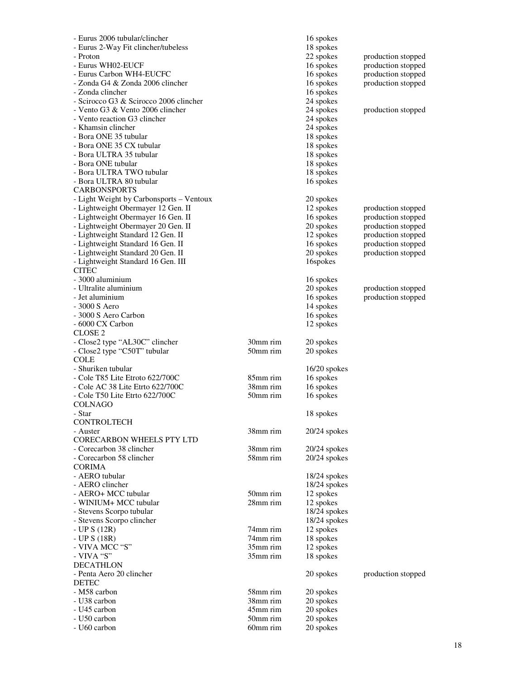| - Eurus 2006 tubular/clincher                                          |          | 16 spokes              |                    |
|------------------------------------------------------------------------|----------|------------------------|--------------------|
| - Eurus 2-Way Fit clincher/tubeless                                    |          | 18 spokes              |                    |
| - Proton                                                               |          | 22 spokes              | production stopped |
| - Eurus WH02-EUCF                                                      |          | 16 spokes              | production stopped |
| - Eurus Carbon WH4-EUCFC                                               |          | 16 spokes              | production stopped |
| - Zonda G4 & Zonda 2006 clincher                                       |          | 16 spokes              | production stopped |
| - Zonda clincher                                                       |          | 16 spokes              |                    |
| - Scirocco G3 & Scirocco 2006 clincher                                 |          | 24 spokes              |                    |
| - Vento G3 & Vento 2006 clincher                                       |          | 24 spokes              | production stopped |
| - Vento reaction G3 clincher                                           |          | 24 spokes              |                    |
| - Khamsin clincher                                                     |          | 24 spokes              |                    |
| - Bora ONE 35 tubular                                                  |          | 18 spokes              |                    |
| - Bora ONE 35 CX tubular                                               |          | 18 spokes              |                    |
| - Bora ULTRA 35 tubular                                                |          | 18 spokes              |                    |
| - Bora ONE tubular                                                     |          | 18 spokes              |                    |
| - Bora ULTRA TWO tubular                                               |          | 18 spokes              |                    |
| - Bora ULTRA 80 tubular                                                |          | 16 spokes              |                    |
| <b>CARBONSPORTS</b>                                                    |          |                        |                    |
| - Light Weight by Carbonsports - Ventoux                               |          | 20 spokes              |                    |
| - Lightweight Obermayer 12 Gen. II                                     |          | 12 spokes              | production stopped |
| - Lightweight Obermayer 16 Gen. II                                     |          | 16 spokes              | production stopped |
| - Lightweight Obermayer 20 Gen. II                                     |          | 20 spokes              | production stopped |
| - Lightweight Standard 12 Gen. II<br>- Lightweight Standard 16 Gen. II |          | 12 spokes              | production stopped |
| - Lightweight Standard 20 Gen. II                                      |          | 16 spokes<br>20 spokes | production stopped |
| - Lightweight Standard 16 Gen. III                                     |          | 16spokes               | production stopped |
| <b>CITEC</b>                                                           |          |                        |                    |
| - 3000 aluminium                                                       |          | 16 spokes              |                    |
| - Ultralite aluminium                                                  |          | 20 spokes              | production stopped |
| - Jet aluminium                                                        |          | 16 spokes              | production stopped |
| - 3000 S Aero                                                          |          | 14 spokes              |                    |
| - 3000 S Aero Carbon                                                   |          | 16 spokes              |                    |
| - 6000 CX Carbon                                                       |          | 12 spokes              |                    |
| CLOSE <sub>2</sub>                                                     |          |                        |                    |
| - Close2 type "AL30C" clincher                                         | 30mm rim | 20 spokes              |                    |
| - Close2 type "C50T" tubular                                           | 50mm rim | 20 spokes              |                    |
| <b>COLE</b>                                                            |          |                        |                    |
| - Shuriken tubular                                                     |          | $16/20$ spokes         |                    |
| - Cole T85 Lite Etroto 622/700C                                        | 85mm rim | 16 spokes              |                    |
| - Cole AC 38 Lite Etrto 622/700C                                       | 38mm rim | 16 spokes              |                    |
| - Cole T50 Lite Etrto 622/700C                                         | 50mm rim | 16 spokes              |                    |
| <b>COLNAGO</b>                                                         |          |                        |                    |
| - Star                                                                 |          | 18 spokes              |                    |
| <b>CONTROLTECH</b>                                                     |          |                        |                    |
| - Auster                                                               | 38mm rim | $20/24$ spokes         |                    |
| <b>CORECARBON WHEELS PTY LTD</b>                                       |          |                        |                    |
| - Corecarbon 38 clincher                                               | 38mm rim | $20/24$ spokes         |                    |
| - Corecarbon 58 clincher                                               | 58mm rim | $20/24$ spokes         |                    |
| <b>CORIMA</b>                                                          |          |                        |                    |
| - AERO tubular                                                         |          | 18/24 spokes           |                    |
| - AERO clincher                                                        |          | 18/24 spokes           |                    |
| - AERO+ MCC tubular                                                    | 50mm rim | 12 spokes              |                    |
| - WINIUM+ MCC tubular                                                  | 28mm rim | 12 spokes              |                    |
| - Stevens Scorpo tubular                                               |          | 18/24 spokes           |                    |
| - Stevens Scorpo clincher                                              |          | 18/24 spokes           |                    |
| $-$ UP S (12R)                                                         | 74mm rim | 12 spokes              |                    |
| $-$ UP S $(18R)$                                                       | 74mm rim | 18 spokes              |                    |
| - VIVA MCC "S"                                                         | 35mm rim | 12 spokes              |                    |
| - VIVA "S"                                                             | 35mm rim | 18 spokes              |                    |
| <b>DECATHLON</b>                                                       |          |                        |                    |
| - Penta Aero 20 clincher                                               |          | 20 spokes              | production stopped |
| <b>DETEC</b>                                                           |          |                        |                    |
| - M58 carbon                                                           | 58mm rim | 20 spokes              |                    |
| - U38 carbon                                                           | 38mm rim | 20 spokes              |                    |
| - U45 carbon                                                           | 45mm rim | 20 spokes              |                    |
| - U50 carbon                                                           | 50mm rim | 20 spokes              |                    |
| - U60 carbon                                                           | 60mm rim | 20 spokes              |                    |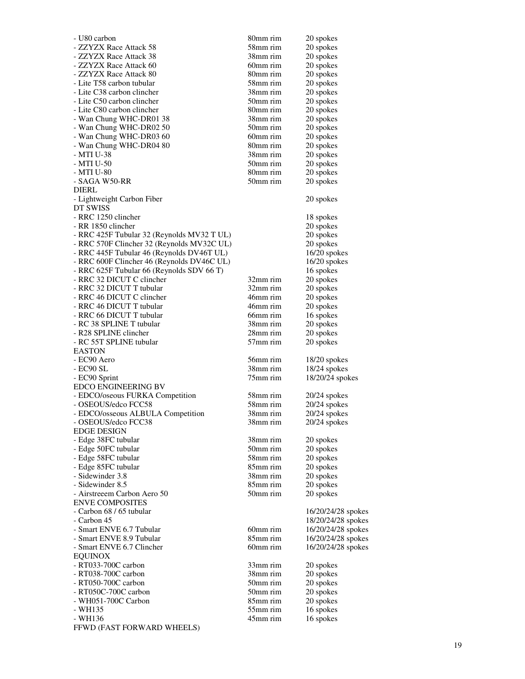| - U80 carbon                                             | 80mm rim             | 20 spokes              |
|----------------------------------------------------------|----------------------|------------------------|
| - ZZYZX Race Attack 58                                   | 58mm rim             | 20 spokes              |
| - ZZYZX Race Attack 38                                   | 38mm rim             | 20 spokes              |
| - ZZYZX Race Attack 60                                   | 60mm rim             | 20 spokes              |
| - ZZYZX Race Attack 80                                   | 80mm rim             | 20 spokes              |
| - Lite T58 carbon tubular                                | 58mm rim             | 20 spokes              |
| - Lite C38 carbon clincher                               | 38mm rim             | 20 spokes              |
| - Lite C50 carbon clincher                               | 50mm rim             | 20 spokes              |
| - Lite C80 carbon clincher                               | 80mm rim             | 20 spokes              |
| - Wan Chung WHC-DR01 38                                  | 38mm rim             | 20 spokes              |
| - Wan Chung WHC-DR02 50                                  | 50mm rim             | 20 spokes              |
| - Wan Chung WHC-DR03 60                                  | 60mm rim             | 20 spokes              |
| - Wan Chung WHC-DR04 80                                  | 80mm rim             | 20 spokes              |
| - MTI U-38                                               | 38mm rim             | 20 spokes              |
| - MTI U-50<br>- MTI U-80                                 | 50mm rim<br>80mm rim | 20 spokes              |
| - SAGA W50-RR                                            | 50mm rim             | 20 spokes<br>20 spokes |
| DIERL                                                    |                      |                        |
| - Lightweight Carbon Fiber                               |                      | 20 spokes              |
| DT SWISS                                                 |                      |                        |
| - RRC 1250 clincher                                      |                      | 18 spokes              |
| - RR 1850 clincher                                       |                      | 20 spokes              |
| - RRC 425F Tubular 32 (Reynolds MV32 T UL)               |                      | 20 spokes              |
| - RRC 570F Clincher 32 (Reynolds MV32C UL)               |                      | 20 spokes              |
| - RRC 445F Tubular 46 (Reynolds DV46T UL)                |                      | 16/20 spokes           |
| - RRC 600F Clincher 46 (Reynolds DV46C UL)               |                      | $16/20$ spokes         |
| - RRC 625F Tubular 66 (Reynolds SDV 66 T)                |                      | 16 spokes              |
| - RRC 32 DICUT C clincher                                | 32mm rim             | 20 spokes              |
| - RRC 32 DICUT T tubular                                 | 32mm rim             | 20 spokes              |
| - RRC 46 DICUT C clincher                                | 46mm rim             | 20 spokes              |
| - RRC 46 DICUT T tubular                                 | 46mm rim             | 20 spokes              |
| - RRC 66 DICUT T tubular                                 | 66mm rim             | 16 spokes              |
| - RC 38 SPLINE T tubular                                 | 38mm rim             | 20 spokes              |
| - R28 SPLINE clincher                                    | 28mm rim             | 20 spokes              |
| - RC 55T SPLINE tubular                                  | 57mm rim             | 20 spokes              |
| EASTON                                                   |                      |                        |
| - EC90 Aero                                              | 56mm rim             | 18/20 spokes           |
| - EC90 SL                                                | 38mm rim             | $18/24$ spokes         |
| - EC90 Sprint                                            | 75mm rim             | 18/20/24 spokes        |
| EDCO ENGINEERING BV                                      |                      |                        |
| - EDCO/oseous FURKA Competition                          | 58mm rim             | $20/24$ spokes         |
| - OSEOUS/edco FCC58                                      | 58mm rim             | $20/24$ spokes         |
| - EDCO/osseous ALBULA Competition<br>- OSEOUS/edco FCC38 | 38mm rim<br>38mm rim | $20/24$ spokes         |
| <b>EDGE DESIGN</b>                                       |                      | $20/24$ spokes         |
| - Edge 38FC tubular                                      | 38mm rim             | 20 spokes              |
| - Edge 50FC tubular                                      | 50mm rim             | 20 spokes              |
| - Edge 58FC tubular                                      | 58mm rim             | 20 spokes              |
| - Edge 85FC tubular                                      | 85mm rim             | 20 spokes              |
| - Sidewinder 3.8                                         | 38mm rim             | 20 spokes              |
| - Sidewinder 8.5                                         | 85mm rim             | 20 spokes              |
| - Airstreeem Carbon Aero 50                              | 50mm rim             | 20 spokes              |
| <b>ENVE COMPOSITES</b>                                   |                      |                        |
| - Carbon 68 / 65 tubular                                 |                      | 16/20/24/28 spokes     |
| - Carbon 45                                              |                      | 18/20/24/28 spokes     |
| - Smart ENVE 6.7 Tubular                                 | 60mm rim             | 16/20/24/28 spokes     |
| - Smart ENVE 8.9 Tubular                                 | 85mm rim             | 16/20/24/28 spokes     |
| - Smart ENVE 6.7 Clincher                                | 60mm rim             | 16/20/24/28 spokes     |
| <b>EQUINOX</b>                                           |                      |                        |
| $-$ RT033-700C carbon                                    | 33mm rim             | 20 spokes              |
| - RT038-700C carbon                                      | 38mm rim             | 20 spokes              |
| - RT050-700C carbon                                      | 50mm rim             | 20 spokes              |
| - RT050C-700C carbon                                     | 50mm rim             | 20 spokes              |
| - WH051-700C Carbon                                      | 85mm rim             | 20 spokes              |
| - WH135                                                  | 55mm rim             | 16 spokes              |
| - WH136                                                  | 45mm rim             | 16 spokes              |
| FFWD (FAST FORWARD WHEELS)                               |                      |                        |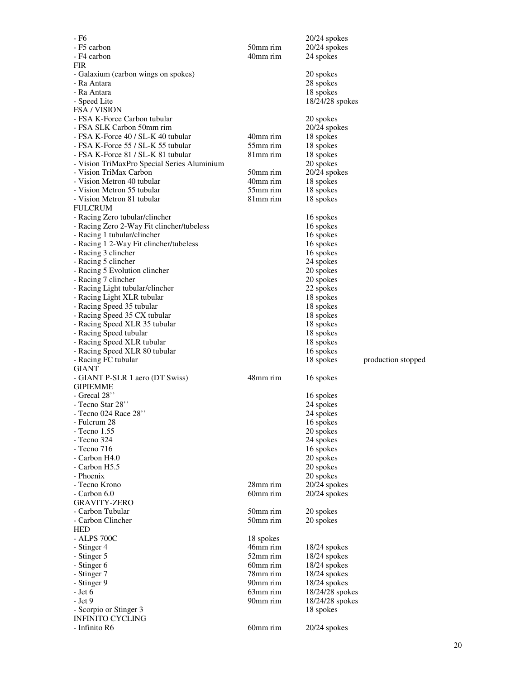|                                                      |                      | $20/24$ spokes                     |                    |
|------------------------------------------------------|----------------------|------------------------------------|--------------------|
| - F5 carbon                                          | 50mm rim             | $20/24$ spokes                     |                    |
| - F4 carbon                                          | 40mm rim             | 24 spokes                          |                    |
| <b>FIR</b>                                           |                      |                                    |                    |
| - Galaxium (carbon wings on spokes)                  |                      | 20 spokes                          |                    |
| - Ra Antara                                          |                      | 28 spokes                          |                    |
| - Ra Antara                                          |                      | 18 spokes                          |                    |
| - Speed Lite<br>FSA / VISION                         |                      | 18/24/28 spokes                    |                    |
| - FSA K-Force Carbon tubular                         |                      | 20 spokes                          |                    |
| - FSA SLK Carbon 50mm rim                            |                      | 20/24 spokes                       |                    |
| - FSA K-Force 40 / SL-K 40 tubular                   | 40mm rim             | 18 spokes                          |                    |
| - FSA K-Force 55 / SL-K 55 tubular                   | 55mm rim             | 18 spokes                          |                    |
| - FSA K-Force 81 / SL-K 81 tubular                   | 81mm rim             | 18 spokes                          |                    |
| - Vision TriMaxPro Special Series Aluminium          |                      | 20 spokes                          |                    |
| - Vision TriMax Carbon                               | 50mm rim             | 20/24 spokes                       |                    |
| - Vision Metron 40 tubular                           | 40mm rim             | 18 spokes                          |                    |
| - Vision Metron 55 tubular                           | 55mm rim             | 18 spokes                          |                    |
| - Vision Metron 81 tubular                           | 81mm rim             | 18 spokes                          |                    |
| <b>FULCRUM</b>                                       |                      |                                    |                    |
| - Racing Zero tubular/clincher                       |                      | 16 spokes                          |                    |
| - Racing Zero 2-Way Fit clincher/tubeless            |                      | 16 spokes                          |                    |
| - Racing 1 tubular/clincher                          |                      | 16 spokes                          |                    |
| - Racing 1 2-Way Fit clincher/tubeless               |                      | 16 spokes                          |                    |
| - Racing 3 clincher                                  |                      | 16 spokes                          |                    |
| - Racing 5 clincher                                  |                      | 24 spokes                          |                    |
| - Racing 5 Evolution clincher<br>- Racing 7 clincher |                      | 20 spokes<br>20 spokes             |                    |
| - Racing Light tubular/clincher                      |                      | 22 spokes                          |                    |
| - Racing Light XLR tubular                           |                      | 18 spokes                          |                    |
| - Racing Speed 35 tubular                            |                      | 18 spokes                          |                    |
| - Racing Speed 35 CX tubular                         |                      | 18 spokes                          |                    |
| - Racing Speed XLR 35 tubular                        |                      | 18 spokes                          |                    |
| - Racing Speed tubular                               |                      | 18 spokes                          |                    |
| - Racing Speed XLR tubular                           |                      | 18 spokes                          |                    |
| - Racing Speed XLR 80 tubular                        |                      | 16 spokes                          |                    |
| - Racing FC tubular                                  |                      | 18 spokes                          | production stopped |
| GIANT                                                |                      |                                    |                    |
| - GIANT P-SLR 1 aero (DT Swiss)                      | 48mm rim             | 16 spokes                          |                    |
| <b>GIPIEMME</b>                                      |                      |                                    |                    |
|                                                      |                      |                                    |                    |
| - Grecal 28"                                         |                      | 16 spokes                          |                    |
| - Tecno Star 28"                                     |                      | 24 spokes                          |                    |
| - Tecno 024 Race 28"                                 |                      | 24 spokes                          |                    |
| - Fulcrum 28                                         |                      | 16 spokes                          |                    |
| - Tecno 1.55                                         |                      | 20 spokes                          |                    |
| - Tecno 324                                          |                      | 24 spokes                          |                    |
| - Tecno 716                                          |                      | 16 spokes                          |                    |
| - Carbon H4.0<br>- Carbon H5.5                       |                      | 20 spokes                          |                    |
| - Phoenix                                            |                      | 20 spokes<br>20 spokes             |                    |
| - Tecno Krono                                        | 28mm rim             | 20/24 spokes                       |                    |
| $-$ Carbon 6.0                                       | 60mm rim             | $20/24$ spokes                     |                    |
| <b>GRAVITY-ZERO</b>                                  |                      |                                    |                    |
| - Carbon Tubular                                     | 50mm rim             | 20 spokes                          |                    |
| - Carbon Clincher                                    | 50mm rim             | 20 spokes                          |                    |
| HED                                                  |                      |                                    |                    |
| - ALPS 700C                                          | 18 spokes            |                                    |                    |
| - Stinger 4                                          | 46mm rim             | $18/24$ spokes                     |                    |
| - Stinger 5                                          | 52mm rim             | $18/24$ spokes                     |                    |
| - Stinger 6                                          | 60mm rim             | $18/24$ spokes                     |                    |
| - Stinger 7                                          | 78mm rim<br>90mm rim | 18/24 spokes                       |                    |
| - Stinger 9<br>- Jet 6                               | 63mm rim             | 18/24 spokes                       |                    |
| - Jet 9                                              | 90mm rim             | 18/24/28 spokes<br>18/24/28 spokes |                    |
| - Scorpio or Stinger 3                               |                      | 18 spokes                          |                    |
| <b>INFINITO CYCLING</b>                              |                      |                                    |                    |
| - Infinito R6                                        | 60mm rim             | $20/24$ spokes                     |                    |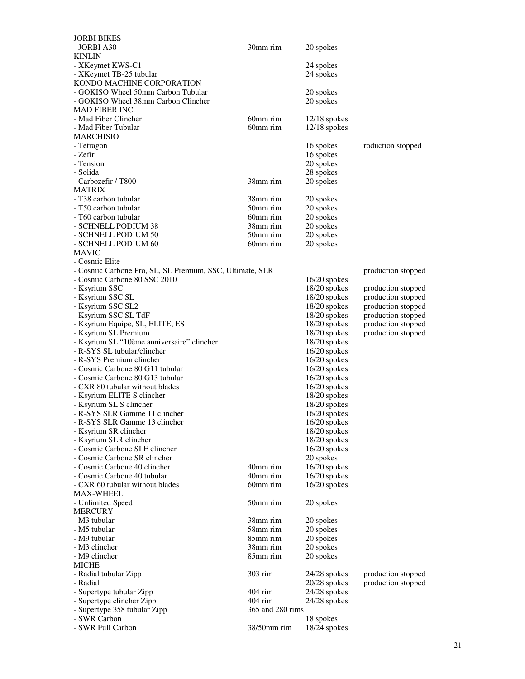| <b>JORBI BIKES</b>                                       |                  |                             |                    |
|----------------------------------------------------------|------------------|-----------------------------|--------------------|
| - JORBI A30                                              | 30mm rim         | 20 spokes                   |                    |
| <b>KINLIN</b>                                            |                  |                             |                    |
| - XKeymet KWS-C1                                         |                  | 24 spokes                   |                    |
| - XKeymet TB-25 tubular                                  |                  | 24 spokes                   |                    |
| KONDO MACHINE CORPORATION                                |                  |                             |                    |
| - GOKISO Wheel 50mm Carbon Tubular                       |                  | 20 spokes                   |                    |
| - GOKISO Wheel 38mm Carbon Clincher                      |                  | 20 spokes                   |                    |
| <b>MAD FIBER INC.</b>                                    |                  |                             |                    |
| - Mad Fiber Clincher                                     | 60mm rim         | $12/18$ spokes              |                    |
| - Mad Fiber Tubular                                      | 60mm rim         | $12/18$ spokes              |                    |
| <b>MARCHISIO</b>                                         |                  |                             |                    |
| - Tetragon                                               |                  | 16 spokes                   | roduction stopped  |
| - Zefir                                                  |                  | 16 spokes                   |                    |
| - Tension                                                |                  | 20 spokes                   |                    |
| - Solida                                                 |                  | 28 spokes                   |                    |
| - Carbozefir / T800                                      | 38mm rim         | 20 spokes                   |                    |
| <b>MATRIX</b>                                            |                  |                             |                    |
| - T38 carbon tubular                                     | 38mm rim         | 20 spokes                   |                    |
| - T50 carbon tubular                                     | 50mm rim         | 20 spokes                   |                    |
| - T60 carbon tubular                                     | 60mm rim         | 20 spokes                   |                    |
| - SCHNELL PODIUM 38                                      | 38mm rim         | 20 spokes                   |                    |
| - SCHNELL PODIUM 50                                      | 50mm rim         | 20 spokes                   |                    |
| - SCHNELL PODIUM 60                                      | 60mm rim         | 20 spokes                   |                    |
| <b>MAVIC</b>                                             |                  |                             |                    |
| - Cosmic Elite                                           |                  |                             |                    |
| - Cosmic Carbone Pro, SL, SL Premium, SSC, Ultimate, SLR |                  |                             | production stopped |
| - Cosmic Carbone 80 SSC 2010                             |                  | $16/20$ spokes              |                    |
| - Ksyrium SSC                                            |                  | $18/20$ spokes              | production stopped |
| - Ksyrium SSC SL                                         |                  | 18/20 spokes                | production stopped |
| - Ksyrium SSC SL2                                        |                  | 18/20 spokes                | production stopped |
| - Ksyrium SSC SL TdF                                     |                  | 18/20 spokes                | production stopped |
| - Ksyrium Equipe, SL, ELITE, ES                          |                  | $18/20$ spokes              | production stopped |
| - Ksyrium SL Premium                                     |                  | $18/20$ spokes              | production stopped |
| - Ksyrium SL "10ème anniversaire" clincher               |                  | $18/20$ spokes              |                    |
| - R-SYS SL tubular/clincher                              |                  | $16/20$ spokes              |                    |
| - R-SYS Premium clincher                                 |                  | 16/20 spokes                |                    |
| - Cosmic Carbone 80 G11 tubular                          |                  | $16/20$ spokes              |                    |
| - Cosmic Carbone 80 G13 tubular                          |                  | $16/20$ spokes              |                    |
| - CXR 80 tubular without blades                          |                  | $16/20$ spokes              |                    |
| - Ksyrium ELITE S clincher                               |                  | 18/20 spokes                |                    |
| - Ksyrium SL S clincher                                  |                  | 18/20 spokes                |                    |
| - R-SYS SLR Gamme 11 clincher                            |                  | $16/20$ spokes              |                    |
| - R-SYS SLR Gamme 13 clincher                            |                  | $16/20$ spokes              |                    |
| - Ksyrium SR clincher                                    |                  | $18/20$ spokes              |                    |
| - Ksyrium SLR clincher                                   |                  | 18/20 spokes                |                    |
| - Cosmic Carbone SLE clincher                            |                  | $16/20$ spokes              |                    |
| - Cosmic Carbone SR clincher                             |                  |                             |                    |
| - Cosmic Carbone 40 clincher                             | 40mm rim         | 20 spokes<br>$16/20$ spokes |                    |
| - Cosmic Carbone 40 tubular                              |                  |                             |                    |
|                                                          |                  |                             |                    |
|                                                          | 40mm rim         | $16/20$ spokes              |                    |
| - CXR 60 tubular without blades                          | 60mm rim         | $16/20$ spokes              |                    |
| <b>MAX-WHEEL</b>                                         |                  |                             |                    |
| - Unlimited Speed                                        | 50mm rim         | 20 spokes                   |                    |
| <b>MERCURY</b>                                           |                  |                             |                    |
| - M3 tubular                                             | 38mm rim         | 20 spokes                   |                    |
| - M5 tubular                                             | 58mm rim         | 20 spokes                   |                    |
| - M9 tubular                                             | 85mm rim         | 20 spokes                   |                    |
| - M3 clincher                                            | 38mm rim         | 20 spokes                   |                    |
| - M9 clincher                                            | 85mm rim         | 20 spokes                   |                    |
| MICHE                                                    |                  |                             |                    |
| - Radial tubular Zipp                                    | 303 rim          | 24/28 spokes                | production stopped |
| - Radial                                                 |                  | $20/28$ spokes              | production stopped |
| - Supertype tubular Zipp                                 | 404 rim          | $24/28$ spokes              |                    |
| - Supertype clincher Zipp                                | 404 rim          | $24/28$ spokes              |                    |
| - Supertype 358 tubular Zipp                             | 365 and 280 rims |                             |                    |
| - SWR Carbon<br>- SWR Full Carbon                        | 38/50mm rim      | 18 spokes<br>18/24 spokes   |                    |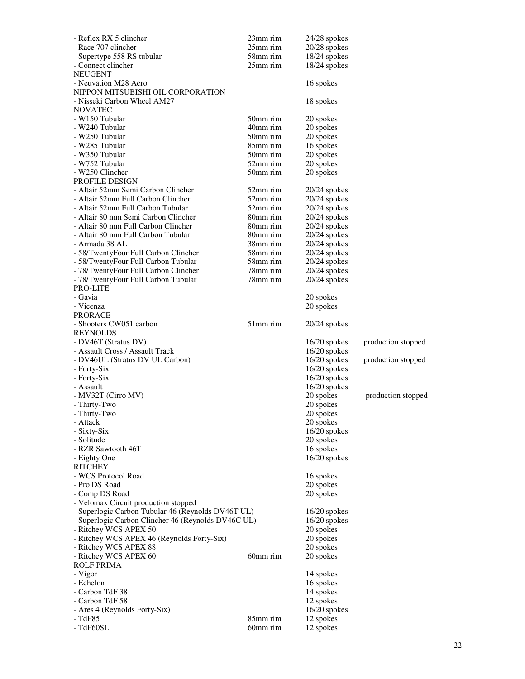| - Reflex RX 5 clincher                                                       | 23mm rim    | 24/28 spokes                |                    |
|------------------------------------------------------------------------------|-------------|-----------------------------|--------------------|
| - Race 707 clincher                                                          | 25mm rim    | $20/28$ spokes              |                    |
| - Supertype 558 RS tubular                                                   | 58mm rim    | $18/24$ spokes              |                    |
| - Connect clincher                                                           | 25mm rim    | $18/24$ spokes              |                    |
| <b>NEUGENT</b>                                                               |             |                             |                    |
| - Neuvation M28 Aero                                                         |             | 16 spokes                   |                    |
| NIPPON MITSUBISHI OIL CORPORATION                                            |             |                             |                    |
| - Nisseki Carbon Wheel AM27                                                  |             | 18 spokes                   |                    |
| <b>NOVATEC</b>                                                               |             |                             |                    |
| - W150 Tubular                                                               | 50mm rim    | 20 spokes                   |                    |
| - W240 Tubular                                                               | 40mm rim    | 20 spokes                   |                    |
| - W250 Tubular                                                               | $50mm$ rim  | 20 spokes                   |                    |
| - W285 Tubular                                                               | 85mm rim    | 16 spokes                   |                    |
| - W350 Tubular                                                               | 50mm rim    | 20 spokes                   |                    |
| - W752 Tubular                                                               | 52mm rim    | 20 spokes                   |                    |
| - W250 Clincher                                                              | 50mm rim    | 20 spokes                   |                    |
| PROFILE DESIGN                                                               |             |                             |                    |
| - Altair 52mm Semi Carbon Clincher                                           | 52mm rim    | $20/24$ spokes              |                    |
| - Altair 52mm Full Carbon Clincher                                           | 52mm rim    | $20/24$ spokes              |                    |
| - Altair 52mm Full Carbon Tubular                                            | $52$ mm rim | $20/24$ spokes              |                    |
| - Altair 80 mm Semi Carbon Clincher                                          | 80mm rim    | $20/24$ spokes              |                    |
| - Altair 80 mm Full Carbon Clincher                                          | 80mm rim    | $20/24$ spokes              |                    |
| - Altair 80 mm Full Carbon Tubular                                           | 80mm rim    | $20/24$ spokes              |                    |
| - Armada 38 AL                                                               | 38mm rim    | 20/24 spokes                |                    |
| - 58/TwentyFour Full Carbon Clincher                                         | 58mm rim    | $20/24$ spokes              |                    |
| - 58/TwentyFour Full Carbon Tubular                                          | 58mm rim    | $20/24$ spokes              |                    |
| - 78/TwentyFour Full Carbon Clincher                                         | 78mm rim    | $20/24$ spokes              |                    |
| - 78/TwentyFour Full Carbon Tubular                                          | 78mm rim    | $20/24$ spokes              |                    |
| PRO-LITE                                                                     |             |                             |                    |
| - Gavia                                                                      |             | 20 spokes                   |                    |
| - Vicenza                                                                    |             | 20 spokes                   |                    |
| <b>PRORACE</b>                                                               |             |                             |                    |
| - Shooters CW051 carbon                                                      | 51mm rim    | $20/24$ spokes              |                    |
| REYNOLDS                                                                     |             |                             |                    |
| - DV46T (Stratus DV)                                                         |             | 16/20 spokes                | production stopped |
| - Assault Cross / Assault Track                                              |             | $16/20$ spokes              |                    |
| - DV46UL (Stratus DV UL Carbon)                                              |             | $16/20$ spokes              | production stopped |
| - Forty-Six                                                                  |             | $16/20$ spokes              |                    |
| - Forty-Six                                                                  |             | 16/20 spokes                |                    |
| - Assault                                                                    |             | 16/20 spokes                |                    |
| - MV32T (Cirro MV)                                                           |             | 20 spokes                   | production stopped |
| - Thirty-Two                                                                 |             | 20 spokes                   |                    |
| - Thirty-Two                                                                 |             | 20 spokes                   |                    |
| - Attack                                                                     |             | 20 spokes                   |                    |
| - Sixty-Six                                                                  |             | $16/20$ spokes              |                    |
| - Solitude                                                                   |             | 20 spokes                   |                    |
| - RZR Sawtooth 46T                                                           |             | 16 spokes                   |                    |
| - Eighty One                                                                 |             | $16/20$ spokes              |                    |
| RITCHEY                                                                      |             |                             |                    |
| - WCS Protocol Road<br>- Pro DS Road                                         |             | 16 spokes                   |                    |
|                                                                              |             | 20 spokes                   |                    |
| - Comp DS Road<br>- Velomax Circuit production stopped                       |             | 20 spokes                   |                    |
|                                                                              |             |                             |                    |
| - Superlogic Carbon Tubular 46 (Reynolds DV46T UL)                           |             | 16/20 spokes                |                    |
| - Superlogic Carbon Clincher 46 (Reynolds DV46C UL)<br>- Ritchey WCS APEX 50 |             | $16/20$ spokes<br>20 spokes |                    |
| - Ritchey WCS APEX 46 (Reynolds Forty-Six)                                   |             | 20 spokes                   |                    |
| - Ritchey WCS APEX 88                                                        |             | 20 spokes                   |                    |
| - Ritchey WCS APEX 60                                                        | 60mm rim    | 20 spokes                   |                    |
| <b>ROLF PRIMA</b>                                                            |             |                             |                    |
| - Vigor                                                                      |             | 14 spokes                   |                    |
| - Echelon                                                                    |             | 16 spokes                   |                    |
| - Carbon TdF 38                                                              |             | 14 spokes                   |                    |
| - Carbon TdF 58                                                              |             | 12 spokes                   |                    |
| - Ares 4 (Reynolds Forty-Six)                                                |             | $16/20$ spokes              |                    |
| - TdF85                                                                      | 85mm rim    | 12 spokes                   |                    |
| - TdF60SL                                                                    | 60mm rim    | 12 spokes                   |                    |
|                                                                              |             |                             |                    |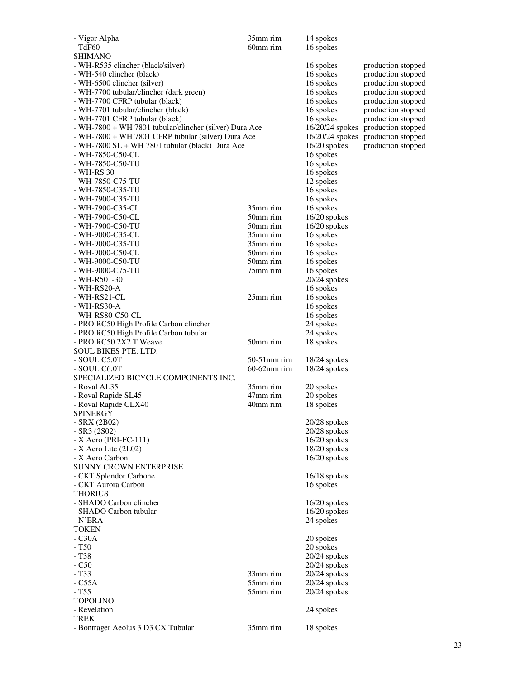| - Vigor Alpha                                                       | 35mm rim       | 14 spokes                        |                    |
|---------------------------------------------------------------------|----------------|----------------------------------|--------------------|
| - TdF60                                                             | 60mm rim       | 16 spokes                        |                    |
| SHIMANO                                                             |                |                                  |                    |
| - WH-R535 clincher (black/silver)                                   |                | 16 spokes                        | production stopped |
| - WH-540 clincher (black)                                           |                | 16 spokes                        | production stopped |
| - WH-6500 clincher (silver)                                         |                | 16 spokes                        | production stopped |
| - WH-7700 tubular/clincher (dark green)                             |                | 16 spokes                        | production stopped |
| - WH-7700 CFRP tubular (black)                                      |                | 16 spokes                        | production stopped |
| - WH-7701 tubular/clincher (black)                                  |                | 16 spokes                        | production stopped |
| - WH-7701 CFRP tubular (black)                                      |                | 16 spokes                        | production stopped |
| - WH-7800 + WH 7801 tubular/clincher (silver) Dura Ace              |                | 16/20/24 spokes                  | production stopped |
| - WH-7800 + WH 7801 CFRP tubular (silver) Dura Ace                  |                | 16/20/24 spokes                  | production stopped |
| - WH-7800 SL + WH 7801 tubular (black) Dura Ace<br>- WH-7850-C50-CL |                | $16/20$ spokes<br>16 spokes      | production stopped |
| - WH-7850-C50-TU                                                    |                | 16 spokes                        |                    |
| - WH-RS 30                                                          |                | 16 spokes                        |                    |
| - WH-7850-C75-TU                                                    |                | 12 spokes                        |                    |
| - WH-7850-C35-TU                                                    |                | 16 spokes                        |                    |
| - WH-7900-C35-TU                                                    |                | 16 spokes                        |                    |
| - WH-7900-C35-CL                                                    | 35mm rim       | 16 spokes                        |                    |
| - WH-7900-C50-CL                                                    | 50mm rim       | $16/20$ spokes                   |                    |
| - WH-7900-C50-TU                                                    | 50mm rim       | 16/20 spokes                     |                    |
| - WH-9000-C35-CL                                                    | 35mm rim       | 16 spokes                        |                    |
| - WH-9000-C35-TU                                                    | 35mm rim       | 16 spokes                        |                    |
| - WH-9000-C50-CL                                                    | 50mm rim       | 16 spokes                        |                    |
| - WH-9000-C50-TU                                                    | 50mm rim       | 16 spokes                        |                    |
| - WH-9000-C75-TU                                                    | 75mm rim       | 16 spokes                        |                    |
| - WH-R501-30                                                        |                | $20/24$ spokes                   |                    |
| - WH-RS20-A                                                         |                | 16 spokes                        |                    |
| - WH-RS21-CL                                                        | 25mm rim       | 16 spokes                        |                    |
| - WH-RS30-A                                                         |                | 16 spokes                        |                    |
| - WH-RS80-C50-CL                                                    |                | 16 spokes                        |                    |
| - PRO RC50 High Profile Carbon clincher                             |                | 24 spokes                        |                    |
| - PRO RC50 High Profile Carbon tubular                              |                | 24 spokes                        |                    |
| - PRO RC50 2X2 T Weave                                              | 50mm rim       | 18 spokes                        |                    |
| <b>SOUL BIKES PTE. LTD.</b>                                         | 50-51mm rim    |                                  |                    |
| - SOUL C5.0T<br>- SOUL C6.0T                                        | $60-62$ mm rim | $18/24$ spokes                   |                    |
| SPECIALIZED BICYCLE COMPONENTS INC.                                 |                | 18/24 spokes                     |                    |
| - Roval AL35                                                        | 35mm rim       | 20 spokes                        |                    |
| - Roval Rapide SL45                                                 | 47mm rim       | 20 spokes                        |                    |
| - Roval Rapide CLX40                                                | 40mm rim       | 18 spokes                        |                    |
| <b>SPINERGY</b>                                                     |                |                                  |                    |
| - SRX (2B02)                                                        |                | 20/28 spokes                     |                    |
| $-SR3(2S02)$                                                        |                | $20/28$ spokes                   |                    |
| $- X$ Aero (PRI-FC-111)                                             |                | 16/20 spokes                     |                    |
| - X Aero Lite (2L02)                                                |                | 18/20 spokes                     |                    |
| - X Aero Carbon                                                     |                | $16/20$ spokes                   |                    |
| <b>SUNNY CROWN ENTERPRISE</b>                                       |                |                                  |                    |
| - CKT Splendor Carbone                                              |                | $16/18$ spokes                   |                    |
| - CKT Aurora Carbon                                                 |                | 16 spokes                        |                    |
| <b>THORIUS</b>                                                      |                |                                  |                    |
| - SHADO Carbon clincher                                             |                | $16/20$ spokes                   |                    |
| - SHADO Carbon tubular                                              |                | $16/20$ spokes                   |                    |
| - N'ERA                                                             |                | 24 spokes                        |                    |
| <b>TOKEN</b>                                                        |                |                                  |                    |
| $-C30A$                                                             |                | 20 spokes                        |                    |
| $-T50$<br>- T <sub>38</sub>                                         |                | 20 spokes                        |                    |
| $-C50$                                                              |                | $20/24$ spokes<br>$20/24$ spokes |                    |
| $-T33$                                                              | 33mm rim       | 20/24 spokes                     |                    |
| $-C55A$                                                             | 55mm rim       | $20/24$ spokes                   |                    |
| - T <sub>55</sub>                                                   | 55mm rim       | $20/24$ spokes                   |                    |
| <b>TOPOLINO</b>                                                     |                |                                  |                    |
| - Revelation                                                        |                | 24 spokes                        |                    |
| <b>TREK</b>                                                         |                |                                  |                    |
|                                                                     |                |                                  |                    |
| - Bontrager Aeolus 3 D3 CX Tubular                                  | 35mm rim       | 18 spokes                        |                    |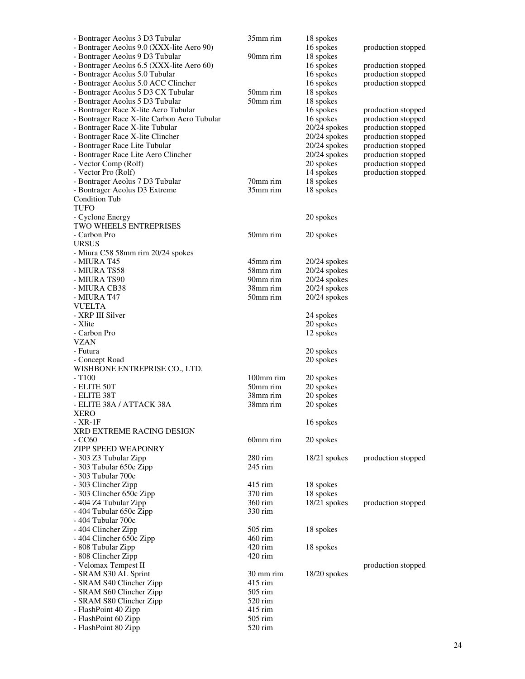| - Bontrager Aeolus 3 D3 Tubular                | 35mm rim               | 18 spokes      |                    |
|------------------------------------------------|------------------------|----------------|--------------------|
| - Bontrager Aeolus 9.0 (XXX-lite Aero 90)      |                        | 16 spokes      | production stopped |
| - Bontrager Aeolus 9 D3 Tubular                | 90mm rim               | 18 spokes      |                    |
| - Bontrager Aeolus 6.5 (XXX-lite Aero 60)      |                        | 16 spokes      | production stopped |
| - Bontrager Aeolus 5.0 Tubular                 |                        | 16 spokes      | production stopped |
| - Bontrager Aeolus 5.0 ACC Clincher            |                        | 16 spokes      | production stopped |
| - Bontrager Aeolus 5 D3 CX Tubular             | 50mm rim               | 18 spokes      |                    |
| - Bontrager Aeolus 5 D3 Tubular                | 50mm rim               | 18 spokes      |                    |
| - Bontrager Race X-lite Aero Tubular           |                        | 16 spokes      | production stopped |
| - Bontrager Race X-lite Carbon Aero Tubular    |                        | 16 spokes      | production stopped |
| - Bontrager Race X-lite Tubular                |                        | 20/24 spokes   | production stopped |
| - Bontrager Race X-lite Clincher               |                        | 20/24 spokes   | production stopped |
| - Bontrager Race Lite Tubular                  |                        | $20/24$ spokes | production stopped |
| - Bontrager Race Lite Aero Clincher            |                        | $20/24$ spokes | production stopped |
| - Vector Comp (Rolf)                           |                        | 20 spokes      | production stopped |
| - Vector Pro (Rolf)                            |                        | 14 spokes      | production stopped |
| - Bontrager Aeolus 7 D3 Tubular                | 70mm rim               | 18 spokes      |                    |
| - Bontrager Aeolus D3 Extreme                  | 35mm rim               | 18 spokes      |                    |
| <b>Condition Tub</b>                           |                        |                |                    |
| TUFO                                           |                        |                |                    |
| - Cyclone Energy                               |                        | 20 spokes      |                    |
| <b>TWO WHEELS ENTREPRISES</b>                  |                        |                |                    |
| - Carbon Pro                                   | 50mm rim               | 20 spokes      |                    |
| <b>URSUS</b>                                   |                        |                |                    |
| - Miura C58 58mm rim 20/24 spokes              |                        |                |                    |
| - MIURA T45                                    | 45mm rim               | $20/24$ spokes |                    |
| - MIURA TS58                                   | 58mm rim               | 20/24 spokes   |                    |
| - MIURA TS90                                   | 90mm rim               | $20/24$ spokes |                    |
| - MIURA CB38                                   | 38mm rim               | $20/24$ spokes |                    |
| - MIURA T47                                    | 50mm rim               | $20/24$ spokes |                    |
| <b>VUELTA</b>                                  |                        |                |                    |
| - XRP III Silver                               |                        | 24 spokes      |                    |
| - Xlite                                        |                        | 20 spokes      |                    |
| - Carbon Pro                                   |                        | 12 spokes      |                    |
| <b>VZAN</b>                                    |                        |                |                    |
| - Futura                                       |                        | 20 spokes      |                    |
| - Concept Road                                 |                        | 20 spokes      |                    |
| WISHBONE ENTREPRISE CO., LTD.                  |                        |                |                    |
| $- T100$                                       | $100$ mm rim           | 20 spokes      |                    |
| - ELITE 50T                                    | 50mm rim               | 20 spokes      |                    |
| - ELITE 38T                                    | 38mm rim               | 20 spokes      |                    |
| - ELITE 38A / ATTACK 38A                       | 38mm rim               | 20 spokes      |                    |
| <b>XERO</b>                                    |                        |                |                    |
| - XR-1F                                        |                        | 16 spokes      |                    |
| <b>XRD EXTREME RACING DESIGN</b>               |                        |                |                    |
| $-CC60$                                        | 60mm rim               | 20 spokes      |                    |
| <b>ZIPP SPEED WEAPONRY</b>                     |                        |                |                    |
| - 303 Z3 Tubular Zipp                          | $280$ rim<br>$245$ rim | $18/21$ spokes | production stopped |
| - 303 Tubular 650c Zipp                        |                        |                |                    |
| - 303 Tubular 700c                             |                        |                |                    |
| - 303 Clincher Zipp                            | $415$ rim              | 18 spokes      |                    |
| - 303 Clincher 650c Zipp                       | 370 rim                | 18 spokes      |                    |
| - 404 Z4 Tubular Zipp                          | 360 rim<br>330 rim     | $18/21$ spokes | production stopped |
| - 404 Tubular 650c Zipp<br>- 404 Tubular 700c  |                        |                |                    |
|                                                | $505 \text{ rim}$      |                |                    |
| - 404 Clincher Zipp                            | 460 rim                | 18 spokes      |                    |
| - 404 Clincher 650c Zipp<br>- 808 Tubular Zipp | $420$ rim              | 18 spokes      |                    |
| - 808 Clincher Zipp                            | $420$ rim              |                |                    |
| - Velomax Tempest II                           |                        |                | production stopped |
| - SRAM S30 AL Sprint                           | 30 mm rim              |                |                    |
| - SRAM S40 Clincher Zipp                       | $415$ rim              | $18/20$ spokes |                    |
| - SRAM S60 Clincher Zipp                       | $505$ rim              |                |                    |
| - SRAM S80 Clincher Zipp                       | 520 rim                |                |                    |
| - FlashPoint 40 Zipp                           | 415 rim                |                |                    |
| - FlashPoint 60 Zipp                           | $505 \text{ rim}$      |                |                    |
| - FlashPoint 80 Zipp                           | 520 rim                |                |                    |
|                                                |                        |                |                    |